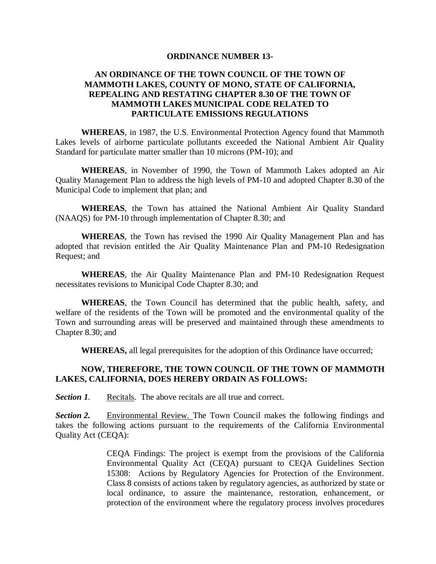#### **ORDINANCE NUMBER 13-**

## **AN ORDINANCE OF THE TOWN COUNCIL OF THE TOWN OF MAMMOTH LAKES, COUNTY OF MONO, STATE OF CALIFORNIA, REPEALING AND RESTATING CHAPTER 8.30 OF THE TOWN OF MAMMOTH LAKES MUNICIPAL CODE RELATED TO PARTICULATE EMISSIONS REGULATIONS**

**WHEREAS**, in 1987, the U.S. Environmental Protection Agency found that Mammoth Lakes levels of airborne particulate pollutants exceeded the National Ambient Air Quality Standard for particulate matter smaller than 10 microns (PM-10); and

**WHEREAS**, in November of 1990, the Town of Mammoth Lakes adopted an Air Quality Management Plan to address the high levels of PM-10 and adopted Chapter 8.30 of the Municipal Code to implement that plan; and

**WHEREAS**, the Town has attained the National Ambient Air Quality Standard (NAAQS) for PM-10 through implementation of Chapter 8.30; and

**WHEREAS**, the Town has revised the 1990 Air Quality Management Plan and has adopted that revision entitled the Air Quality Maintenance Plan and PM-10 Redesignation Request; and

**WHEREAS**, the Air Quality Maintenance Plan and PM-10 Redesignation Request necessitates revisions to Municipal Code Chapter 8.30; and

**WHEREAS**, the Town Council has determined that the public health, safety, and welfare of the residents of the Town will be promoted and the environmental quality of the Town and surrounding areas will be preserved and maintained through these amendments to Chapter 8.30; and

**WHEREAS,** all legal prerequisites for the adoption of this Ordinance have occurred;

### **NOW, THEREFORE, THE TOWN COUNCIL OF THE TOWN OF MAMMOTH LAKES, CALIFORNIA, DOES HEREBY ORDAIN AS FOLLOWS:**

*Section 1.* Recitals. The above recitals are all true and correct.

*Section 2.* Environmental Review. The Town Council makes the following findings and takes the following actions pursuant to the requirements of the California Environmental Quality Act (CEQA):

> CEQA Findings: The project is exempt from the provisions of the California Environmental Quality Act (CEQA) pursuant to CEQA Guidelines Section 15308: Actions by Regulatory Agencies for Protection of the Environment. Class 8 consists of actions taken by regulatory agencies, as authorized by state or local ordinance, to assure the maintenance, restoration, enhancement, or protection of the environment where the regulatory process involves procedures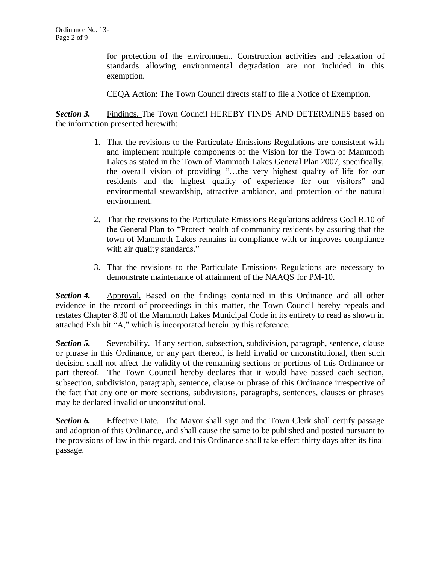for protection of the environment. Construction activities and relaxation of standards allowing environmental degradation are not included in this exemption.

CEQA Action: The Town Council directs staff to file a Notice of Exemption.

**Section 3.** Findings. The Town Council HEREBY FINDS AND DETERMINES based on the information presented herewith:

- 1. That the revisions to the Particulate Emissions Regulations are consistent with and implement multiple components of the Vision for the Town of Mammoth Lakes as stated in the Town of Mammoth Lakes General Plan 2007, specifically, the overall vision of providing "…the very highest quality of life for our residents and the highest quality of experience for our visitors" and environmental stewardship, attractive ambiance, and protection of the natural environment.
- 2. That the revisions to the Particulate Emissions Regulations address Goal R.10 of the General Plan to "Protect health of community residents by assuring that the town of Mammoth Lakes remains in compliance with or improves compliance with air quality standards."
- 3. That the revisions to the Particulate Emissions Regulations are necessary to demonstrate maintenance of attainment of the NAAQS for PM-10.

*Section 4.* Approval. Based on the findings contained in this Ordinance and all other evidence in the record of proceedings in this matter, the Town Council hereby repeals and restates Chapter 8.30 of the Mammoth Lakes Municipal Code in its entirety to read as shown in attached Exhibit "A," which is incorporated herein by this reference.

**Section 5.** Severability. If any section, subsection, subdivision, paragraph, sentence, clause or phrase in this Ordinance, or any part thereof, is held invalid or unconstitutional, then such decision shall not affect the validity of the remaining sections or portions of this Ordinance or part thereof. The Town Council hereby declares that it would have passed each section, subsection, subdivision, paragraph, sentence, clause or phrase of this Ordinance irrespective of the fact that any one or more sections, subdivisions, paragraphs, sentences, clauses or phrases may be declared invalid or unconstitutional.

**Section 6.** Effective Date. The Mayor shall sign and the Town Clerk shall certify passage and adoption of this Ordinance, and shall cause the same to be published and posted pursuant to the provisions of law in this regard, and this Ordinance shall take effect thirty days after its final passage.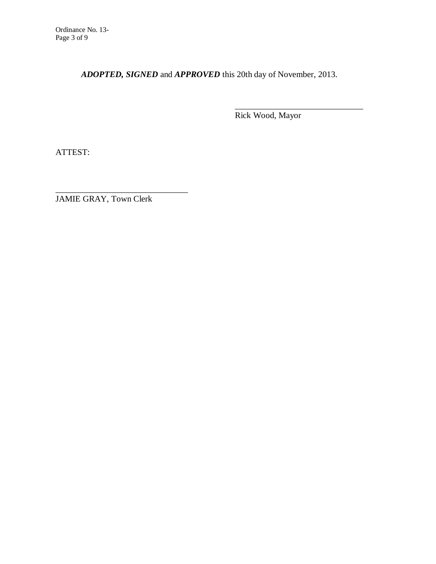*ADOPTED, SIGNED* and *APPROVED* this 20th day of November, 2013.

Rick Wood, Mayor

\_\_\_\_\_\_\_\_\_\_\_\_\_\_\_\_\_\_\_\_\_\_\_\_\_\_\_\_\_\_

ATTEST:

JAMIE GRAY, Town Clerk

\_\_\_\_\_\_\_\_\_\_\_\_\_\_\_\_\_\_\_\_\_\_\_\_\_\_\_\_\_\_\_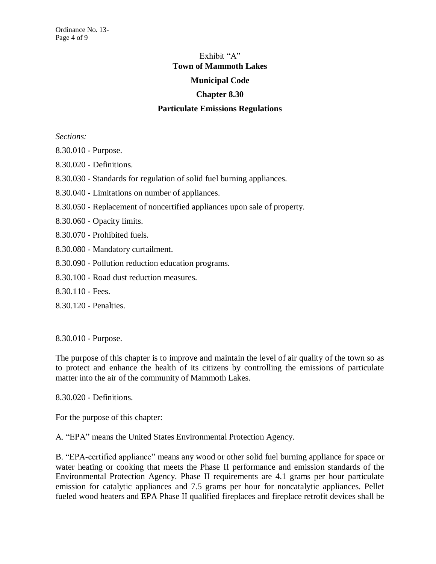# Exhibit "A" **Town of Mammoth Lakes Municipal Code Chapter 8.30**

## **Particulate Emissions Regulations**

*Sections:*

- 8.30.010 Purpose.
- 8.30.020 Definitions.
- 8.30.030 Standards for regulation of solid fuel burning appliances.
- 8.30.040 Limitations on number of appliances.
- 8.30.050 Replacement of noncertified appliances upon sale of property.
- 8.30.060 Opacity limits.
- 8.30.070 Prohibited fuels.
- 8.30.080 Mandatory curtailment.
- 8.30.090 Pollution reduction education programs.
- 8.30.100 Road dust reduction measures.
- 8.30.110 Fees.
- 8.30.120 Penalties.

8.30.010 - Purpose.

The purpose of this chapter is to improve and maintain the level of air quality of the town so as to protect and enhance the health of its citizens by controlling the emissions of particulate matter into the air of the community of Mammoth Lakes.

8.30.020 - Definitions.

For the purpose of this chapter:

A. "EPA" means the United States Environmental Protection Agency.

B. "EPA-certified appliance" means any wood or other solid fuel burning appliance for space or water heating or cooking that meets the Phase II performance and emission standards of the Environmental Protection Agency. Phase II requirements are 4.1 grams per hour particulate emission for catalytic appliances and 7.5 grams per hour for noncatalytic appliances. Pellet fueled wood heaters and EPA Phase II qualified fireplaces and fireplace retrofit devices shall be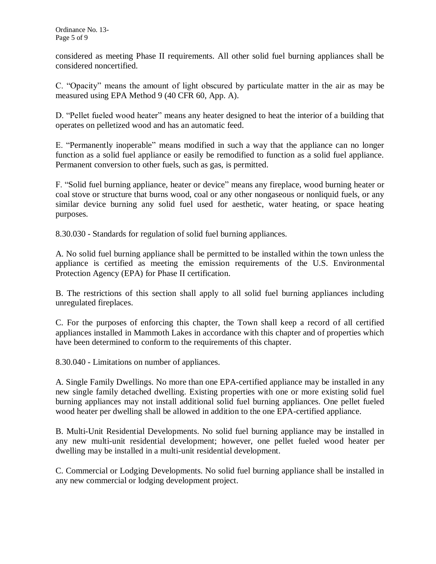considered as meeting Phase II requirements. All other solid fuel burning appliances shall be considered noncertified.

C. "Opacity" means the amount of light obscured by particulate matter in the air as may be measured using EPA Method 9 (40 CFR 60, App. A).

D. "Pellet fueled wood heater" means any heater designed to heat the interior of a building that operates on pelletized wood and has an automatic feed.

E. "Permanently inoperable" means modified in such a way that the appliance can no longer function as a solid fuel appliance or easily be remodified to function as a solid fuel appliance. Permanent conversion to other fuels, such as gas, is permitted.

F. "Solid fuel burning appliance, heater or device" means any fireplace, wood burning heater or coal stove or structure that burns wood, coal or any other nongaseous or nonliquid fuels, or any similar device burning any solid fuel used for aesthetic, water heating, or space heating purposes.

8.30.030 - Standards for regulation of solid fuel burning appliances.

A. No solid fuel burning appliance shall be permitted to be installed within the town unless the appliance is certified as meeting the emission requirements of the U.S. Environmental Protection Agency (EPA) for Phase II certification.

B. The restrictions of this section shall apply to all solid fuel burning appliances including unregulated fireplaces.

C. For the purposes of enforcing this chapter, the Town shall keep a record of all certified appliances installed in Mammoth Lakes in accordance with this chapter and of properties which have been determined to conform to the requirements of this chapter.

8.30.040 - Limitations on number of appliances.

A. Single Family Dwellings. No more than one EPA-certified appliance may be installed in any new single family detached dwelling. Existing properties with one or more existing solid fuel burning appliances may not install additional solid fuel burning appliances. One pellet fueled wood heater per dwelling shall be allowed in addition to the one EPA-certified appliance.

B. Multi-Unit Residential Developments. No solid fuel burning appliance may be installed in any new multi-unit residential development; however, one pellet fueled wood heater per dwelling may be installed in a multi-unit residential development.

C. Commercial or Lodging Developments. No solid fuel burning appliance shall be installed in any new commercial or lodging development project.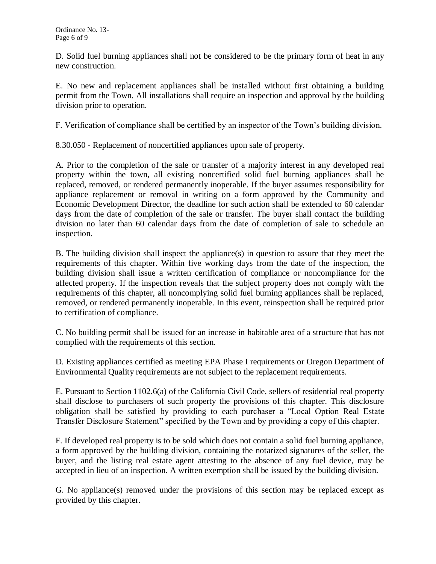D. Solid fuel burning appliances shall not be considered to be the primary form of heat in any new construction.

E. No new and replacement appliances shall be installed without first obtaining a building permit from the Town. All installations shall require an inspection and approval by the building division prior to operation.

F. Verification of compliance shall be certified by an inspector of the Town's building division.

8.30.050 - Replacement of noncertified appliances upon sale of property.

A. Prior to the completion of the sale or transfer of a majority interest in any developed real property within the town, all existing noncertified solid fuel burning appliances shall be replaced, removed, or rendered permanently inoperable. If the buyer assumes responsibility for appliance replacement or removal in writing on a form approved by the Community and Economic Development Director, the deadline for such action shall be extended to 60 calendar days from the date of completion of the sale or transfer. The buyer shall contact the building division no later than 60 calendar days from the date of completion of sale to schedule an inspection.

B. The building division shall inspect the appliance(s) in question to assure that they meet the requirements of this chapter. Within five working days from the date of the inspection, the building division shall issue a written certification of compliance or noncompliance for the affected property. If the inspection reveals that the subject property does not comply with the requirements of this chapter, all noncomplying solid fuel burning appliances shall be replaced, removed, or rendered permanently inoperable. In this event, reinspection shall be required prior to certification of compliance.

C. No building permit shall be issued for an increase in habitable area of a structure that has not complied with the requirements of this section.

D. Existing appliances certified as meeting EPA Phase I requirements or Oregon Department of Environmental Quality requirements are not subject to the replacement requirements.

E. Pursuant to Section 1102.6(a) of the California Civil Code, sellers of residential real property shall disclose to purchasers of such property the provisions of this chapter. This disclosure obligation shall be satisfied by providing to each purchaser a "Local Option Real Estate Transfer Disclosure Statement" specified by the Town and by providing a copy of this chapter.

F. If developed real property is to be sold which does not contain a solid fuel burning appliance, a form approved by the building division, containing the notarized signatures of the seller, the buyer, and the listing real estate agent attesting to the absence of any fuel device, may be accepted in lieu of an inspection. A written exemption shall be issued by the building division.

G. No appliance(s) removed under the provisions of this section may be replaced except as provided by this chapter.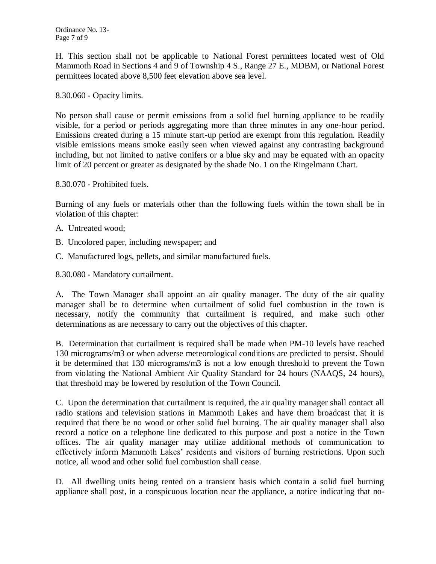H. This section shall not be applicable to National Forest permittees located west of Old Mammoth Road in Sections 4 and 9 of Township 4 S., Range 27 E., MDBM, or National Forest permittees located above 8,500 feet elevation above sea level.

8.30.060 - Opacity limits.

No person shall cause or permit emissions from a solid fuel burning appliance to be readily visible, for a period or periods aggregating more than three minutes in any one-hour period. Emissions created during a 15 minute start-up period are exempt from this regulation. Readily visible emissions means smoke easily seen when viewed against any contrasting background including, but not limited to native conifers or a blue sky and may be equated with an opacity limit of 20 percent or greater as designated by the shade No. 1 on the Ringelmann Chart.

8.30.070 - Prohibited fuels.

Burning of any fuels or materials other than the following fuels within the town shall be in violation of this chapter:

- A. Untreated wood;
- B. Uncolored paper, including newspaper; and
- C. Manufactured logs, pellets, and similar manufactured fuels.

8.30.080 - Mandatory curtailment.

A. The Town Manager shall appoint an air quality manager. The duty of the air quality manager shall be to determine when curtailment of solid fuel combustion in the town is necessary, notify the community that curtailment is required, and make such other determinations as are necessary to carry out the objectives of this chapter.

B. Determination that curtailment is required shall be made when PM-10 levels have reached 130 micrograms/m3 or when adverse meteorological conditions are predicted to persist. Should it be determined that 130 micrograms/m3 is not a low enough threshold to prevent the Town from violating the National Ambient Air Quality Standard for 24 hours (NAAQS, 24 hours), that threshold may be lowered by resolution of the Town Council.

C. Upon the determination that curtailment is required, the air quality manager shall contact all radio stations and television stations in Mammoth Lakes and have them broadcast that it is required that there be no wood or other solid fuel burning. The air quality manager shall also record a notice on a telephone line dedicated to this purpose and post a notice in the Town offices. The air quality manager may utilize additional methods of communication to effectively inform Mammoth Lakes' residents and visitors of burning restrictions. Upon such notice, all wood and other solid fuel combustion shall cease.

D. All dwelling units being rented on a transient basis which contain a solid fuel burning appliance shall post, in a conspicuous location near the appliance, a notice indicating that no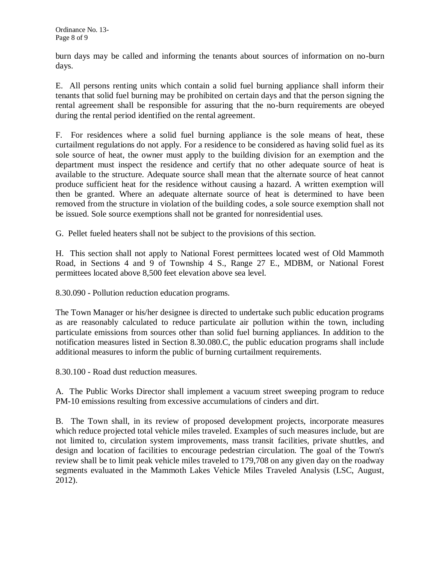burn days may be called and informing the tenants about sources of information on no-burn days.

E. All persons renting units which contain a solid fuel burning appliance shall inform their tenants that solid fuel burning may be prohibited on certain days and that the person signing the rental agreement shall be responsible for assuring that the no-burn requirements are obeyed during the rental period identified on the rental agreement.

F. For residences where a solid fuel burning appliance is the sole means of heat, these curtailment regulations do not apply. For a residence to be considered as having solid fuel as its sole source of heat, the owner must apply to the building division for an exemption and the department must inspect the residence and certify that no other adequate source of heat is available to the structure. Adequate source shall mean that the alternate source of heat cannot produce sufficient heat for the residence without causing a hazard. A written exemption will then be granted. Where an adequate alternate source of heat is determined to have been removed from the structure in violation of the building codes, a sole source exemption shall not be issued. Sole source exemptions shall not be granted for nonresidential uses.

G. Pellet fueled heaters shall not be subject to the provisions of this section.

H. This section shall not apply to National Forest permittees located west of Old Mammoth Road, in Sections 4 and 9 of Township 4 S., Range 27 E., MDBM, or National Forest permittees located above 8,500 feet elevation above sea level.

8.30.090 - Pollution reduction education programs.

The Town Manager or his/her designee is directed to undertake such public education programs as are reasonably calculated to reduce particulate air pollution within the town, including particulate emissions from sources other than solid fuel burning appliances. In addition to the notification measures listed in Section 8.30.080.C, the public education programs shall include additional measures to inform the public of burning curtailment requirements.

8.30.100 - Road dust reduction measures.

A. The Public Works Director shall implement a vacuum street sweeping program to reduce PM-10 emissions resulting from excessive accumulations of cinders and dirt.

B. The Town shall, in its review of proposed development projects, incorporate measures which reduce projected total vehicle miles traveled. Examples of such measures include, but are not limited to, circulation system improvements, mass transit facilities, private shuttles, and design and location of facilities to encourage pedestrian circulation. The goal of the Town's review shall be to limit peak vehicle miles traveled to 179,708 on any given day on the roadway segments evaluated in the Mammoth Lakes Vehicle Miles Traveled Analysis (LSC, August, 2012).